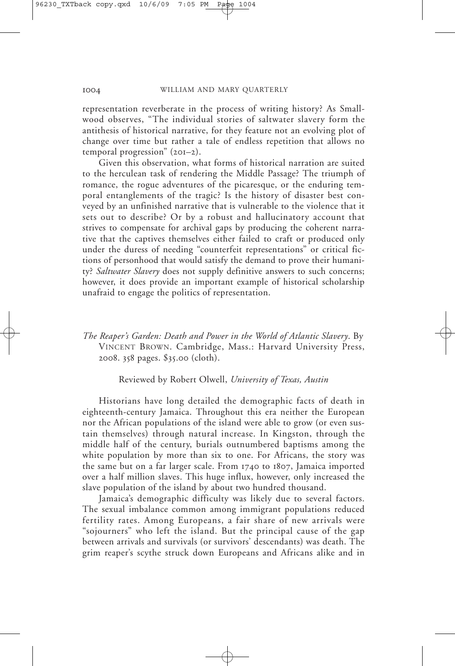representation reverberate in the process of writing history? As Smallwood observes, "The individual stories of saltwater slavery form the antithesis of historical narrative, for they feature not an evolving plot of change over time but rather a tale of endless repetition that allows no temporal progression" (201–2).

Given this observation, what forms of historical narration are suited to the herculean task of rendering the Middle Passage? The triumph of romance, the rogue adventures of the picaresque, or the enduring temporal entanglements of the tragic? Is the history of disaster best conveyed by an unfinished narrative that is vulnerable to the violence that it sets out to describe? Or by a robust and hallucinatory account that strives to compensate for archival gaps by producing the coherent narrative that the captives themselves either failed to craft or produced only under the duress of needing "counterfeit representations" or critical fictions of personhood that would satisfy the demand to prove their humanity? *Saltwater Slavery* does not supply definitive answers to such concerns; however, it does provide an important example of historical scholarship unafraid to engage the politics of representation.

*The Reaper's Garden: Death and Power in the World of Atlantic Slavery*. By VINCENT BROWN. Cambridge, Mass.: Harvard University Press, 2008. 358 pages. \$35.00 (cloth).

Reviewed by Robert Olwell, *University of Texas, Austin*

Historians have long detailed the demographic facts of death in eighteenth-century Jamaica. Throughout this era neither the European nor the African populations of the island were able to grow (or even sustain themselves) through natural increase. In Kingston, through the middle half of the century, burials outnumbered baptisms among the white population by more than six to one. For Africans, the story was the same but on a far larger scale. From 1740 to 1807, Jamaica imported over a half million slaves. This huge influx, however, only increased the slave population of the island by about two hundred thousand.

Jamaica's demographic difficulty was likely due to several factors. The sexual imbalance common among immigrant populations reduced fertility rates. Among Europeans, a fair share of new arrivals were "sojourners" who left the island. But the principal cause of the gap between arrivals and survivals (or survivors' descendants) was death. The grim reaper's scythe struck down Europeans and Africans alike and in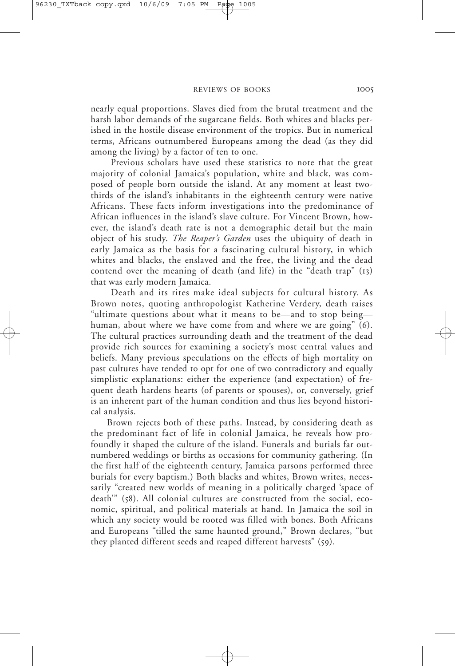nearly equal proportions. Slaves died from the brutal treatment and the harsh labor demands of the sugarcane fields. Both whites and blacks perished in the hostile disease environment of the tropics. But in numerical terms, Africans outnumbered Europeans among the dead (as they did among the living) by a factor of ten to one.

Previous scholars have used these statistics to note that the great majority of colonial Jamaica's population, white and black, was composed of people born outside the island. At any moment at least twothirds of the island's inhabitants in the eighteenth century were native Africans. These facts inform investigations into the predominance of African influences in the island's slave culture. For Vincent Brown, however, the island's death rate is not a demographic detail but the main object of his study. *The Reaper's Garden* uses the ubiquity of death in early Jamaica as the basis for a fascinating cultural history, in which whites and blacks, the enslaved and the free, the living and the dead contend over the meaning of death (and life) in the "death trap" (13) that was early modern Jamaica.

Death and its rites make ideal subjects for cultural history. As Brown notes, quoting anthropologist Katherine Verdery, death raises "ultimate questions about what it means to be—and to stop being human, about where we have come from and where we are going" (6). The cultural practices surrounding death and the treatment of the dead provide rich sources for examining a society's most central values and beliefs. Many previous speculations on the effects of high mortality on past cultures have tended to opt for one of two contradictory and equally simplistic explanations: either the experience (and expectation) of frequent death hardens hearts (of parents or spouses), or, conversely, grief is an inherent part of the human condition and thus lies beyond historical analysis.

Brown rejects both of these paths. Instead, by considering death as the predominant fact of life in colonial Jamaica, he reveals how profoundly it shaped the culture of the island. Funerals and burials far outnumbered weddings or births as occasions for community gathering. (In the first half of the eighteenth century, Jamaica parsons performed three burials for every baptism.) Both blacks and whites, Brown writes, necessarily "created new worlds of meaning in a politically charged 'space of death'" (58). All colonial cultures are constructed from the social, economic, spiritual, and political materials at hand. In Jamaica the soil in which any society would be rooted was filled with bones. Both Africans and Europeans "tilled the same haunted ground," Brown declares, "but they planted different seeds and reaped different harvests" (59).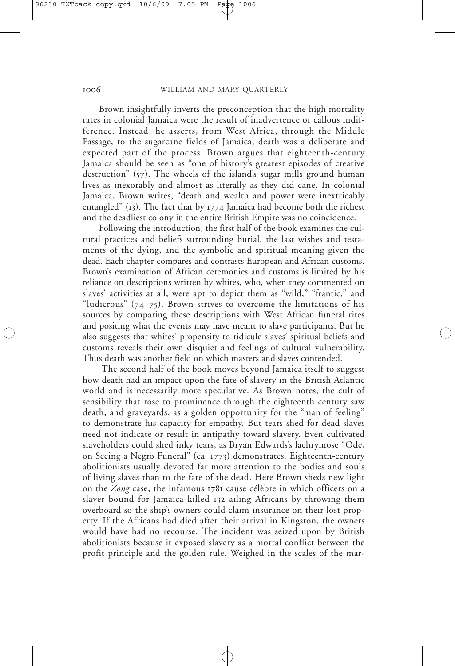Brown insightfully inverts the preconception that the high mortality rates in colonial Jamaica were the result of inadvertence or callous indifference. Instead, he asserts, from West Africa, through the Middle Passage, to the sugarcane fields of Jamaica, death was a deliberate and expected part of the process. Brown argues that eighteenth-century Jamaica should be seen as "one of history's greatest episodes of creative destruction" (57). The wheels of the island's sugar mills ground human lives as inexorably and almost as literally as they did cane. In colonial Jamaica, Brown writes, "death and wealth and power were inextricably entangled" (13). The fact that by 1774 Jamaica had become both the richest and the deadliest colony in the entire British Empire was no coincidence.

Following the introduction, the first half of the book examines the cultural practices and beliefs surrounding burial, the last wishes and testaments of the dying, and the symbolic and spiritual meaning given the dead. Each chapter compares and contrasts European and African customs. Brown's examination of African ceremonies and customs is limited by his reliance on descriptions written by whites, who, when they commented on slaves' activities at all, were apt to depict them as "wild," "frantic," and "ludicrous"  $(74-75)$ . Brown strives to overcome the limitations of his sources by comparing these descriptions with West African funeral rites and positing what the events may have meant to slave participants. But he also suggests that whites' propensity to ridicule slaves' spiritual beliefs and customs reveals their own disquiet and feelings of cultural vulnerability. Thus death was another field on which masters and slaves contended.

The second half of the book moves beyond Jamaica itself to suggest how death had an impact upon the fate of slavery in the British Atlantic world and is necessarily more speculative. As Brown notes, the cult of sensibility that rose to prominence through the eighteenth century saw death, and graveyards, as a golden opportunity for the "man of feeling" to demonstrate his capacity for empathy. But tears shed for dead slaves need not indicate or result in antipathy toward slavery. Even cultivated slaveholders could shed inky tears, as Bryan Edwards's lachrymose "Ode, on Seeing a Negro Funeral" (ca. 1773) demonstrates. Eighteenth-century abolitionists usually devoted far more attention to the bodies and souls of living slaves than to the fate of the dead. Here Brown sheds new light on the *Zong* case, the infamous 1781 cause célèbre in which officers on a slaver bound for Jamaica killed 132 ailing Africans by throwing them overboard so the ship's owners could claim insurance on their lost property. If the Africans had died after their arrival in Kingston, the owners would have had no recourse. The incident was seized upon by British abolitionists because it exposed slavery as a mortal conflict between the profit principle and the golden rule. Weighed in the scales of the mar-